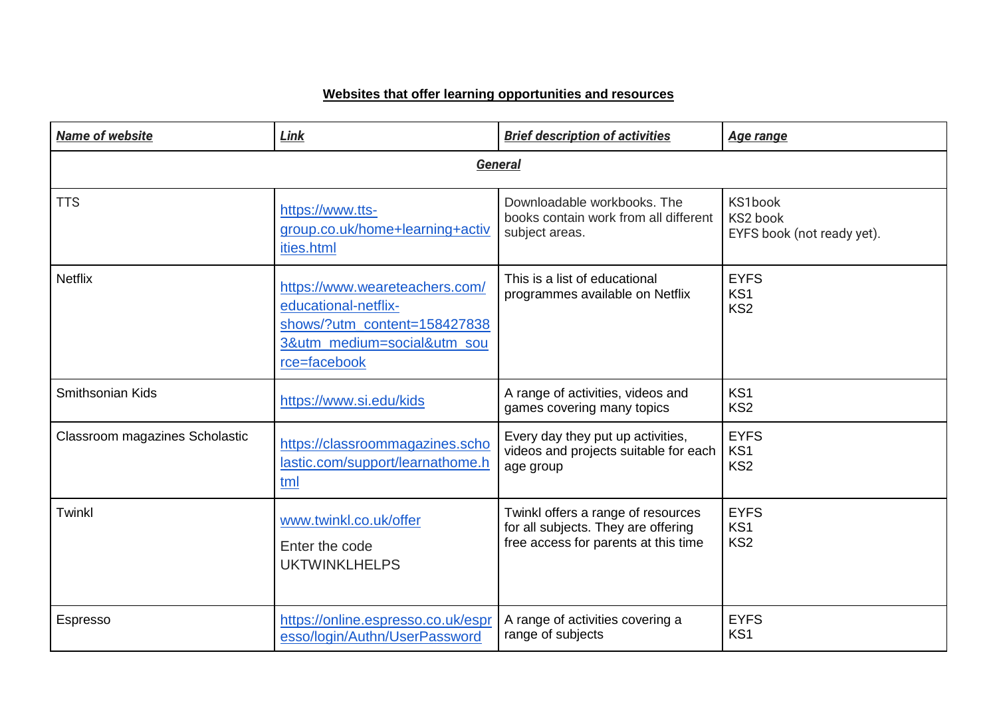## **Websites that offer learning opportunities and resources**

| Name of website                | Link                                                                                                                                  | <b>Brief description of activities</b>                           | <b>Age range</b>                                  |
|--------------------------------|---------------------------------------------------------------------------------------------------------------------------------------|------------------------------------------------------------------|---------------------------------------------------|
|                                | <b>General</b>                                                                                                                        |                                                                  |                                                   |
| <b>TTS</b>                     | https://www.tts-                                                                                                                      | Downloadable workbooks. The                                      | KS1book                                           |
|                                | group.co.uk/home+learning+activ                                                                                                       | books contain work from all different                            | KS2 book                                          |
|                                | ities.html                                                                                                                            | subject areas.                                                   | EYFS book (not ready yet).                        |
| <b>Netflix</b>                 | https://www.weareteachers.com/<br>educational-netflix-<br>shows/?utm_content=158427838<br>3&utm_medium=social&utm_sou<br>rce=facebook | This is a list of educational<br>programmes available on Netflix | <b>EYFS</b><br>KS <sub>1</sub><br>KS <sub>2</sub> |
| Smithsonian Kids               | https://www.si.edu/kids                                                                                                               | A range of activities, videos and<br>games covering many topics  | KS <sub>1</sub><br>KS <sub>2</sub>                |
| Classroom magazines Scholastic | https://classroommagazines.scho                                                                                                       | Every day they put up activities,                                | <b>EYFS</b>                                       |
|                                | lastic.com/support/learnathome.h                                                                                                      | videos and projects suitable for each                            | KS1                                               |
|                                | tml                                                                                                                                   | age group                                                        | KS <sub>2</sub>                                   |
| Twinkl                         | www.twinkl.co.uk/offer                                                                                                                | Twinkl offers a range of resources                               | <b>EYFS</b>                                       |
|                                | Enter the code                                                                                                                        | for all subjects. They are offering                              | KS1                                               |
|                                | <b>UKTWINKLHELPS</b>                                                                                                                  | free access for parents at this time                             | KS <sub>2</sub>                                   |
| <b>Espresso</b>                | https://online.espresso.co.uk/espr                                                                                                    | A range of activities covering a                                 | <b>EYFS</b>                                       |
|                                | esso/login/Authn/UserPassword                                                                                                         | range of subjects                                                | KS <sub>1</sub>                                   |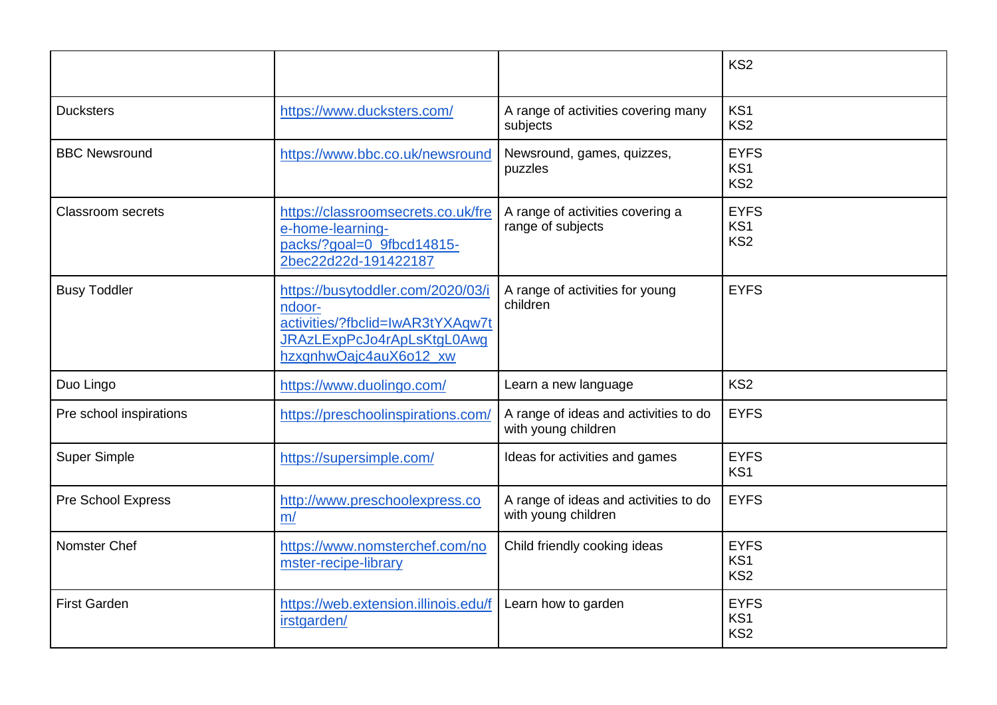|                          |                                                                                                                                         |                                                              | KS <sub>2</sub>                                   |
|--------------------------|-----------------------------------------------------------------------------------------------------------------------------------------|--------------------------------------------------------------|---------------------------------------------------|
| <b>Ducksters</b>         | https://www.ducksters.com/                                                                                                              | A range of activities covering many<br>subjects              | KS <sub>1</sub><br>KS <sub>2</sub>                |
| <b>BBC Newsround</b>     | https://www.bbc.co.uk/newsround                                                                                                         | Newsround, games, quizzes,<br>puzzles                        | <b>EYFS</b><br>KS1<br>KS <sub>2</sub>             |
| <b>Classroom secrets</b> | https://classroomsecrets.co.uk/fre<br>e-home-learning-<br>packs/?goal=0_9fbcd14815-<br>2bec22d22d-191422187                             | A range of activities covering a<br>range of subjects        | <b>EYFS</b><br>KS1<br>KS <sub>2</sub>             |
| <b>Busy Toddler</b>      | https://busytoddler.com/2020/03/i<br>ndoor-<br>activities/?fbclid=lwAR3tYXAqw7t<br>JRAzLExpPcJo4rApLsKtgL0Awg<br>hzxgnhwOajc4auX6o12 xw | A range of activities for young<br>children                  | <b>EYFS</b>                                       |
| Duo Lingo                | https://www.duolingo.com/                                                                                                               | Learn a new language                                         | KS <sub>2</sub>                                   |
| Pre school inspirations  | https://preschoolinspirations.com/                                                                                                      | A range of ideas and activities to do<br>with young children | <b>EYFS</b>                                       |
| <b>Super Simple</b>      | https://supersimple.com/                                                                                                                | Ideas for activities and games                               | <b>EYFS</b><br>KS <sub>1</sub>                    |
| Pre School Express       | http://www.preschoolexpress.co<br>m/                                                                                                    | A range of ideas and activities to do<br>with young children | <b>EYFS</b>                                       |
| Nomster Chef             | https://www.nomsterchef.com/no<br>mster-recipe-library                                                                                  | Child friendly cooking ideas                                 | <b>EYFS</b><br>KS <sub>1</sub><br>KS <sub>2</sub> |
| <b>First Garden</b>      | https://web.extension.illinois.edu/f<br>irstgarden/                                                                                     | Learn how to garden                                          | <b>EYFS</b><br>KS1<br>KS <sub>2</sub>             |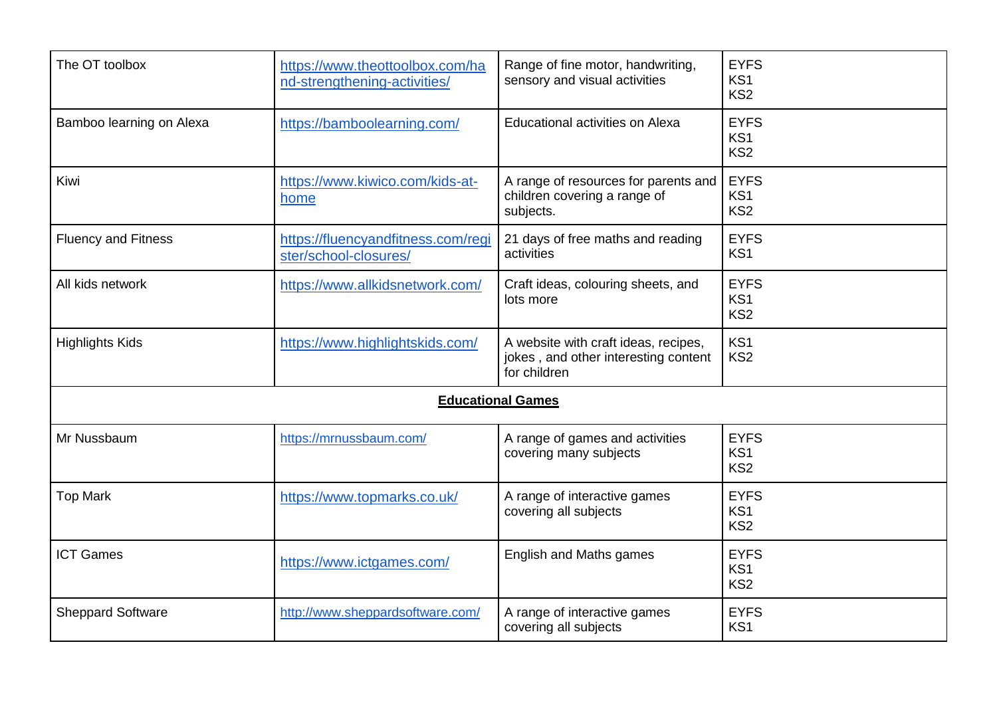| The OT toolbox             | https://www.theottoolbox.com/ha<br>nd-strengthening-activities/ | Range of fine motor, handwriting,<br>sensory and visual activities                           | <b>EYFS</b><br>KS <sub>1</sub><br>KS <sub>2</sub> |
|----------------------------|-----------------------------------------------------------------|----------------------------------------------------------------------------------------------|---------------------------------------------------|
| Bamboo learning on Alexa   | https://bamboolearning.com/                                     | Educational activities on Alexa                                                              | <b>EYFS</b><br>KS <sub>1</sub><br>KS <sub>2</sub> |
| Kiwi                       | https://www.kiwico.com/kids-at-<br>home                         | A range of resources for parents and<br>children covering a range of<br>subjects.            | <b>EYFS</b><br>KS <sub>1</sub><br>KS <sub>2</sub> |
| <b>Fluency and Fitness</b> | https://fluencyandfitness.com/regi<br>ster/school-closures/     | 21 days of free maths and reading<br>activities                                              | <b>EYFS</b><br>KS1                                |
| All kids network           | https://www.allkidsnetwork.com/                                 | Craft ideas, colouring sheets, and<br>lots more                                              | <b>EYFS</b><br>KS <sub>1</sub><br>KS <sub>2</sub> |
| <b>Highlights Kids</b>     | https://www.highlightskids.com/                                 | A website with craft ideas, recipes,<br>jokes, and other interesting content<br>for children | KS <sub>1</sub><br>KS <sub>2</sub>                |
|                            |                                                                 | <b>Educational Games</b>                                                                     |                                                   |
| Mr Nussbaum                | https://mrnussbaum.com/                                         | A range of games and activities<br>covering many subjects                                    | <b>EYFS</b><br>KS <sub>1</sub><br>KS <sub>2</sub> |
| <b>Top Mark</b>            | https://www.topmarks.co.uk/                                     | A range of interactive games<br>covering all subjects                                        | <b>EYFS</b><br>KS <sub>1</sub><br>KS <sub>2</sub> |
| <b>ICT Games</b>           | https://www.ictgames.com/                                       | English and Maths games                                                                      | <b>EYFS</b><br>KS <sub>1</sub><br>KS <sub>2</sub> |
| <b>Sheppard Software</b>   | http://www.sheppardsoftware.com/                                | A range of interactive games<br>covering all subjects                                        | <b>EYFS</b><br>KS <sub>1</sub>                    |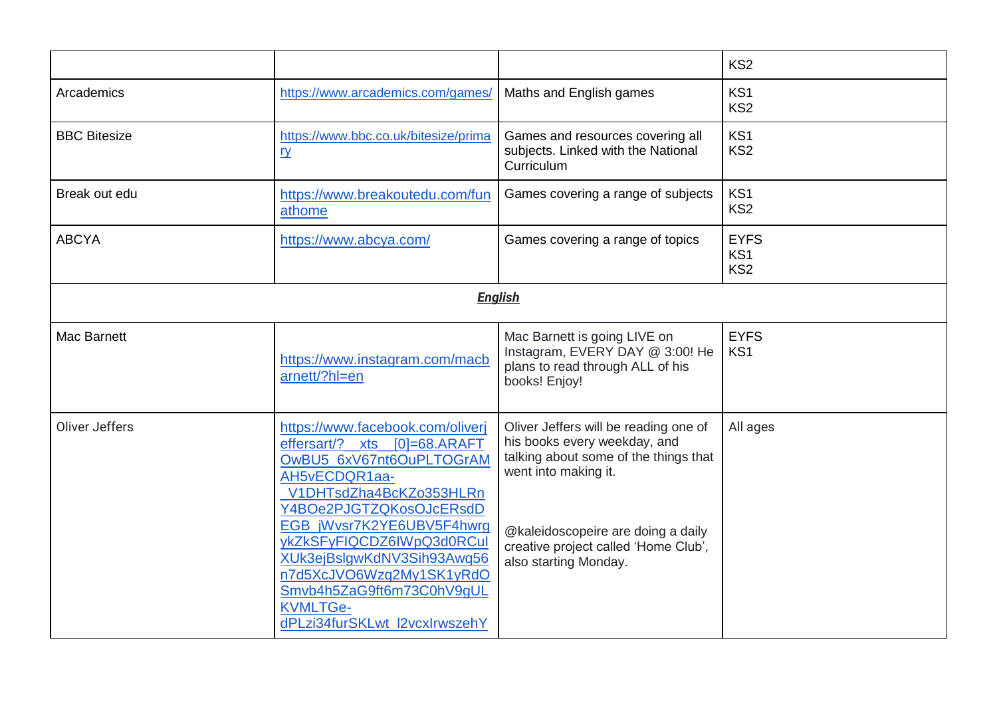|                     |                                                                                                                                                                                                                                                                                                                                                                                  |                                                                                                                                                                                                                                               | KS <sub>2</sub>                       |
|---------------------|----------------------------------------------------------------------------------------------------------------------------------------------------------------------------------------------------------------------------------------------------------------------------------------------------------------------------------------------------------------------------------|-----------------------------------------------------------------------------------------------------------------------------------------------------------------------------------------------------------------------------------------------|---------------------------------------|
| Arcademics          | https://www.arcademics.com/games/                                                                                                                                                                                                                                                                                                                                                | Maths and English games                                                                                                                                                                                                                       | KS <sub>1</sub><br>KS <sub>2</sub>    |
| <b>BBC Bitesize</b> | https://www.bbc.co.uk/bitesize/prima<br><u>ry</u>                                                                                                                                                                                                                                                                                                                                | Games and resources covering all<br>subjects. Linked with the National<br>Curriculum                                                                                                                                                          | KS <sub>1</sub><br>KS <sub>2</sub>    |
| Break out edu       | https://www.breakoutedu.com/fun<br>athome                                                                                                                                                                                                                                                                                                                                        | Games covering a range of subjects                                                                                                                                                                                                            | KS <sub>1</sub><br>KS <sub>2</sub>    |
| <b>ABCYA</b>        | https://www.abcya.com/                                                                                                                                                                                                                                                                                                                                                           | Games covering a range of topics                                                                                                                                                                                                              | <b>EYFS</b><br>KS1<br>KS <sub>2</sub> |
| <b>English</b>      |                                                                                                                                                                                                                                                                                                                                                                                  |                                                                                                                                                                                                                                               |                                       |
| Mac Barnett         | https://www.instagram.com/macb<br>arnett/?hl=en                                                                                                                                                                                                                                                                                                                                  | Mac Barnett is going LIVE on<br>Instagram, EVERY DAY @ 3:00! He<br>plans to read through ALL of his<br>books! Enjoy!                                                                                                                          | <b>EYFS</b><br>KS <sub>1</sub>        |
| Oliver Jeffers      | https://www.facebook.com/oliverj<br>effersart/?<br>$[0]=68.ARAFT$<br>xts<br>OwBU5 6xV67nt6OuPLTOGrAM<br>AH5vECDQR1aa-<br>V1DHTsdZha4BcKZo353HLRn<br>Y4BOe2PJGTZQKosOJcERsdD<br>EGB_jWvsr7K2YE6UBV5F4hwrg<br>ykZkSFyFIQCDZ6IWpQ3d0RCuI<br>XUk3ejBslgwKdNV3Sih93Awq56<br>n7d5XcJVO6Wzq2My1SK1yRdO<br>Smvb4h5ZaG9ft6m73C0hV9gUL<br><b>KVMLTGe-</b><br>dPLzi34furSKLwt_l2vcxlrwszehY | Oliver Jeffers will be reading one of<br>his books every weekday, and<br>talking about some of the things that<br>went into making it.<br>@kaleidoscopeire are doing a daily<br>creative project called 'Home Club',<br>also starting Monday. | All ages                              |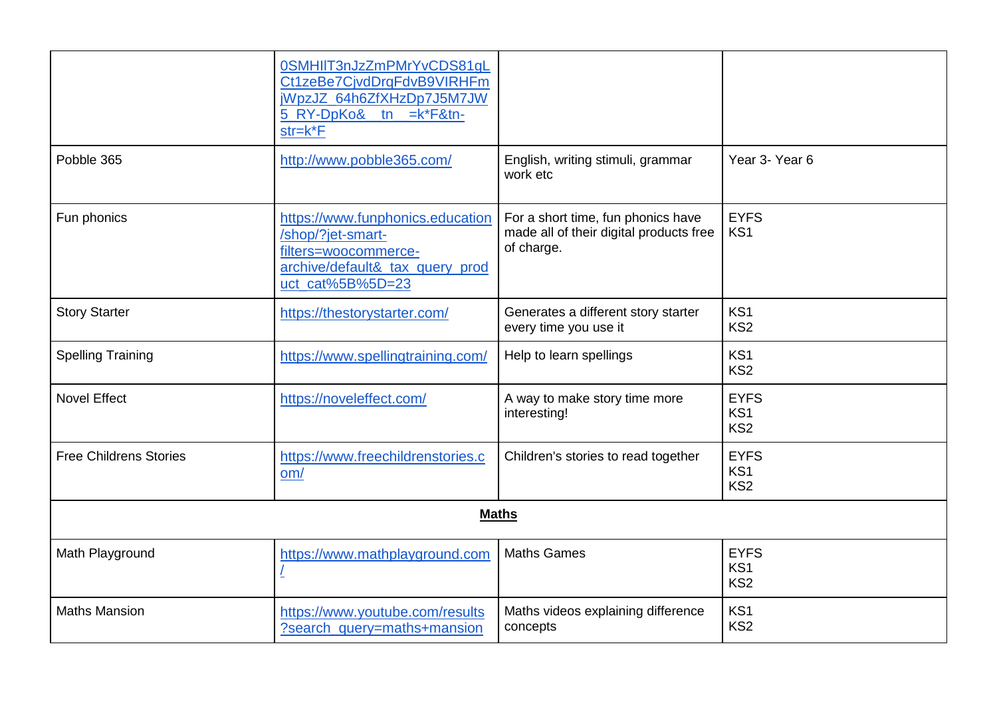|                               | 0SMHIIT3nJzZmPMrYvCDS81qL<br>Ct1zeBe7CjvdDrqFdvB9VIRHFm<br>jWpzJZ_64h6ZfXHzDp7J5M7JW<br>5_RY-DpKo&_tn =k*F&tn-<br>$str=k*F$          |                                                                                             |                                                   |
|-------------------------------|--------------------------------------------------------------------------------------------------------------------------------------|---------------------------------------------------------------------------------------------|---------------------------------------------------|
| Pobble 365                    | http://www.pobble365.com/                                                                                                            | English, writing stimuli, grammar<br>work etc                                               | Year 3- Year 6                                    |
| Fun phonics                   | https://www.funphonics.education<br>/shop/?jet-smart-<br>filters=woocommerce-<br>archive/default&_tax_query_prod<br>uct_cat%5B%5D=23 | For a short time, fun phonics have<br>made all of their digital products free<br>of charge. | <b>EYFS</b><br>KS <sub>1</sub>                    |
| <b>Story Starter</b>          | https://thestorystarter.com/                                                                                                         | Generates a different story starter<br>every time you use it                                | KS <sub>1</sub><br>KS <sub>2</sub>                |
| <b>Spelling Training</b>      | https://www.spellingtraining.com/                                                                                                    | Help to learn spellings                                                                     | KS <sub>1</sub><br>KS <sub>2</sub>                |
| <b>Novel Effect</b>           | https://noveleffect.com/                                                                                                             | A way to make story time more<br>interesting!                                               | <b>EYFS</b><br>KS1<br>KS <sub>2</sub>             |
| <b>Free Childrens Stories</b> | https://www.freechildrenstories.c<br>om/                                                                                             | Children's stories to read together                                                         | <b>EYFS</b><br>KS1<br>KS <sub>2</sub>             |
|                               |                                                                                                                                      | <b>Maths</b>                                                                                |                                                   |
| Math Playground               | https://www.mathplayground.com<br>Ţ                                                                                                  | <b>Maths Games</b>                                                                          | <b>EYFS</b><br>KS <sub>1</sub><br>KS <sub>2</sub> |
| <b>Maths Mansion</b>          | https://www.youtube.com/results<br>?search_query=maths+mansion                                                                       | Maths videos explaining difference<br>concepts                                              | KS <sub>1</sub><br>KS <sub>2</sub>                |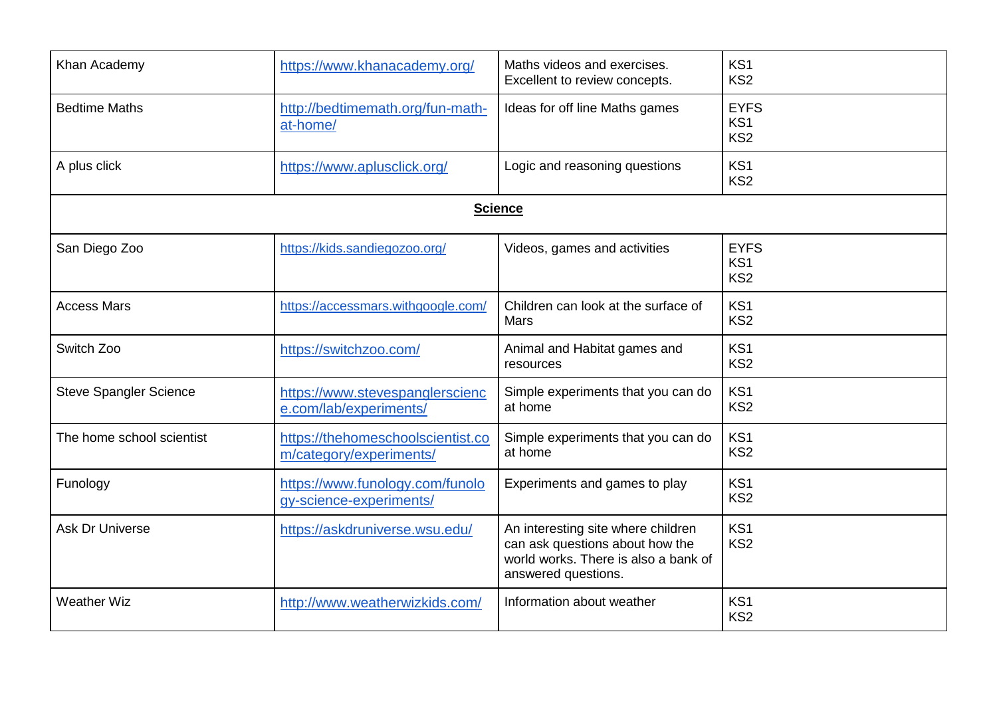| Khan Academy                  | https://www.khanacademy.org/                                 | Maths videos and exercises.<br>Excellent to review concepts.                                                                         | KS <sub>1</sub><br>KS <sub>2</sub>                |
|-------------------------------|--------------------------------------------------------------|--------------------------------------------------------------------------------------------------------------------------------------|---------------------------------------------------|
| <b>Bedtime Maths</b>          | http://bedtimemath.org/fun-math-<br>at-home/                 | Ideas for off line Maths games                                                                                                       | <b>EYFS</b><br>KS <sub>1</sub><br>KS <sub>2</sub> |
| A plus click                  | https://www.aplusclick.org/                                  | Logic and reasoning questions                                                                                                        | KS <sub>1</sub><br>KS <sub>2</sub>                |
|                               |                                                              | <b>Science</b>                                                                                                                       |                                                   |
| San Diego Zoo                 | https://kids.sandiegozoo.org/                                | Videos, games and activities                                                                                                         | <b>EYFS</b><br>KS <sub>1</sub><br>KS <sub>2</sub> |
| <b>Access Mars</b>            | https://accessmars.withgoogle.com/                           | Children can look at the surface of<br><b>Mars</b>                                                                                   | KS <sub>1</sub><br>KS <sub>2</sub>                |
| Switch Zoo                    | https://switchzoo.com/                                       | Animal and Habitat games and<br>resources                                                                                            | KS <sub>1</sub><br>KS <sub>2</sub>                |
| <b>Steve Spangler Science</b> | https://www.stevespanglerscienc<br>e.com/lab/experiments/    | Simple experiments that you can do<br>at home                                                                                        | KS <sub>1</sub><br>KS <sub>2</sub>                |
| The home school scientist     | https://thehomeschoolscientist.co<br>m/category/experiments/ | Simple experiments that you can do<br>at home                                                                                        | KS <sub>1</sub><br>KS <sub>2</sub>                |
| Funology                      | https://www.funology.com/funolo<br>gy-science-experiments/   | Experiments and games to play                                                                                                        | KS <sub>1</sub><br>KS <sub>2</sub>                |
| <b>Ask Dr Universe</b>        | https://askdruniverse.wsu.edu/                               | An interesting site where children<br>can ask questions about how the<br>world works. There is also a bank of<br>answered questions. | KS1<br>KS <sub>2</sub>                            |
| <b>Weather Wiz</b>            | http://www.weatherwizkids.com/                               | Information about weather                                                                                                            | KS <sub>1</sub><br>KS <sub>2</sub>                |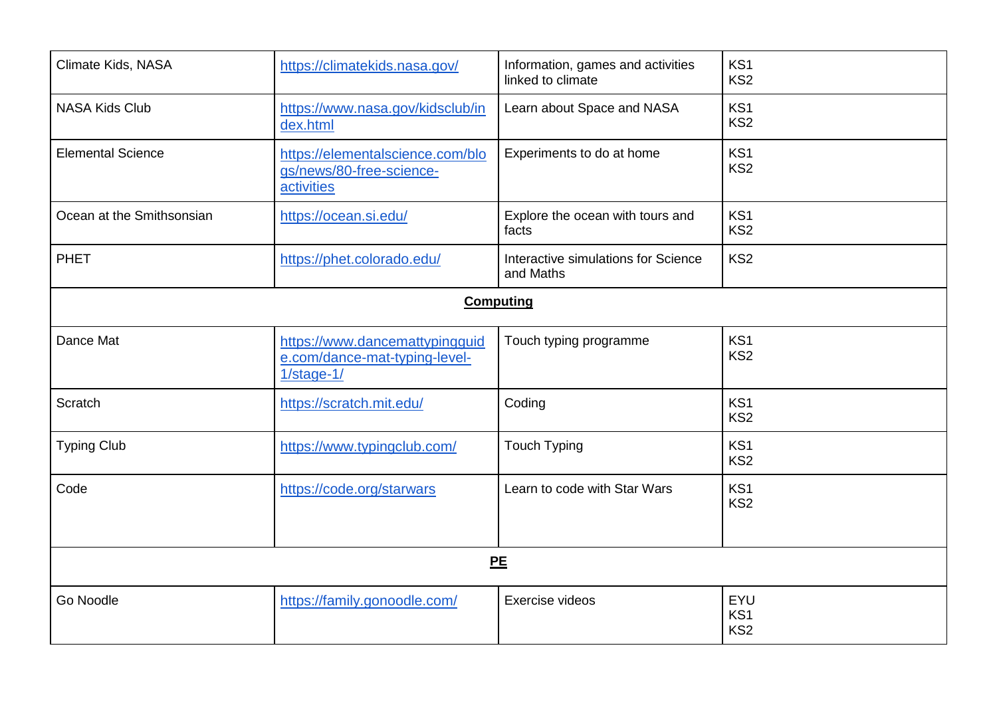| Climate Kids, NASA        | https://climatekids.nasa.gov/                                                   | Information, games and activities<br>linked to climate | KS1<br>KS <sub>2</sub>                    |
|---------------------------|---------------------------------------------------------------------------------|--------------------------------------------------------|-------------------------------------------|
| <b>NASA Kids Club</b>     | https://www.nasa.gov/kidsclub/in<br>dex.html                                    | Learn about Space and NASA                             | KS <sub>1</sub><br>KS <sub>2</sub>        |
| <b>Elemental Science</b>  | https://elementalscience.com/blo<br>gs/news/80-free-science-<br>activities      | Experiments to do at home                              | KS <sub>1</sub><br>KS <sub>2</sub>        |
| Ocean at the Smithsonsian | https://ocean.si.edu/                                                           | Explore the ocean with tours and<br>facts              | KS1<br>KS <sub>2</sub>                    |
| <b>PHET</b>               | https://phet.colorado.edu/                                                      | Interactive simulations for Science<br>and Maths       | KS <sub>2</sub>                           |
|                           |                                                                                 | <b>Computing</b>                                       |                                           |
| Dance Mat                 | https://www.dancemattypingguid<br>e.com/dance-mat-typing-level-<br>$1/stage-1/$ | Touch typing programme                                 | KS <sub>1</sub><br>KS <sub>2</sub>        |
| Scratch                   | https://scratch.mit.edu/                                                        | Coding                                                 | KS <sub>1</sub><br>KS <sub>2</sub>        |
| <b>Typing Club</b>        | https://www.typingclub.com/                                                     | <b>Touch Typing</b>                                    | KS1<br>KS <sub>2</sub>                    |
| Code                      | https://code.org/starwars                                                       | Learn to code with Star Wars                           | KS <sub>1</sub><br>KS <sub>2</sub>        |
|                           |                                                                                 | PE                                                     |                                           |
| Go Noodle                 | https://family.gonoodle.com/                                                    | Exercise videos                                        | EYU<br>KS <sub>1</sub><br>KS <sub>2</sub> |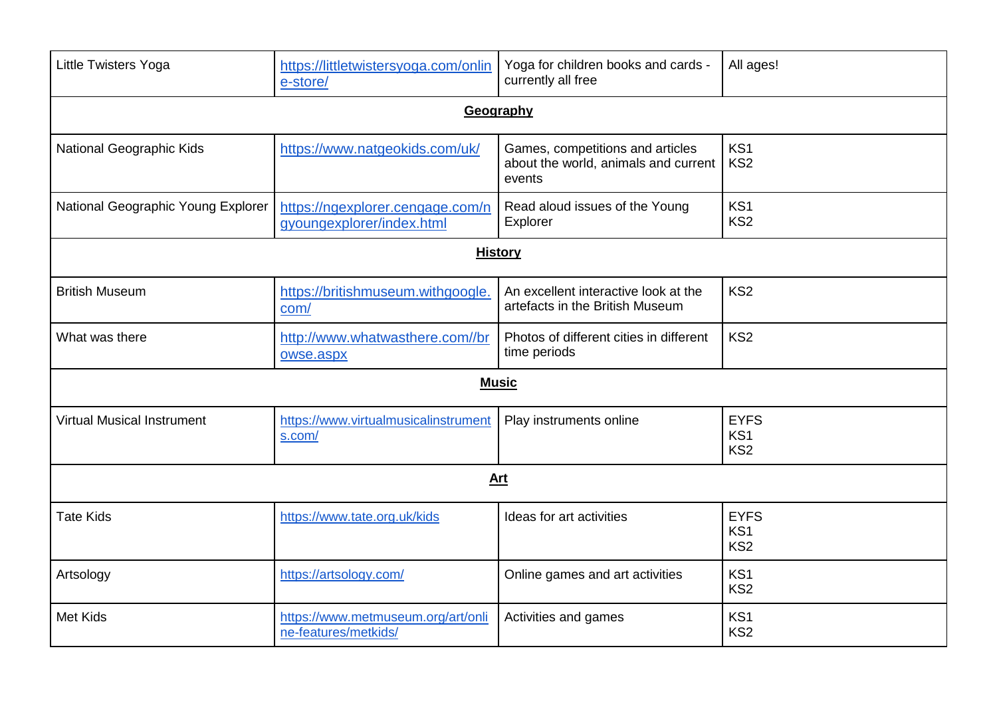| <b>Little Twisters Yoga</b>        | https://littletwistersyoga.com/onlin<br>e-store/              | Yoga for children books and cards -<br>currently all free                          | All ages!                                         |
|------------------------------------|---------------------------------------------------------------|------------------------------------------------------------------------------------|---------------------------------------------------|
|                                    |                                                               | Geography                                                                          |                                                   |
| <b>National Geographic Kids</b>    | https://www.natgeokids.com/uk/                                | Games, competitions and articles<br>about the world, animals and current<br>events | KS <sub>1</sub><br>KS <sub>2</sub>                |
| National Geographic Young Explorer | https://ngexplorer.cengage.com/n<br>gyoungexplorer/index.html | Read aloud issues of the Young<br>Explorer                                         | KS1<br>KS <sub>2</sub>                            |
|                                    | <b>History</b>                                                |                                                                                    |                                                   |
| <b>British Museum</b>              | https://britishmuseum.withgoogle.<br>com/                     | An excellent interactive look at the<br>artefacts in the British Museum            | KS <sub>2</sub>                                   |
| What was there                     | http://www.whatwasthere.com//br<br>owse.aspx                  | Photos of different cities in different<br>time periods                            | KS <sub>2</sub>                                   |
|                                    |                                                               | <b>Music</b>                                                                       |                                                   |
| <b>Virtual Musical Instrument</b>  | https://www.virtualmusicalinstrument<br>s.com/                | Play instruments online                                                            | <b>EYFS</b><br>KS <sub>1</sub><br>KS <sub>2</sub> |
|                                    |                                                               | <b>Art</b>                                                                         |                                                   |
| <b>Tate Kids</b>                   | https://www.tate.org.uk/kids                                  | Ideas for art activities                                                           | <b>EYFS</b><br>KS <sub>1</sub><br>KS <sub>2</sub> |
| Artsology                          | https://artsology.com/                                        | Online games and art activities                                                    | KS <sub>1</sub><br>KS <sub>2</sub>                |
| <b>Met Kids</b>                    | https://www.metmuseum.org/art/onli<br>ne-features/metkids/    | Activities and games                                                               | KS <sub>1</sub><br>KS <sub>2</sub>                |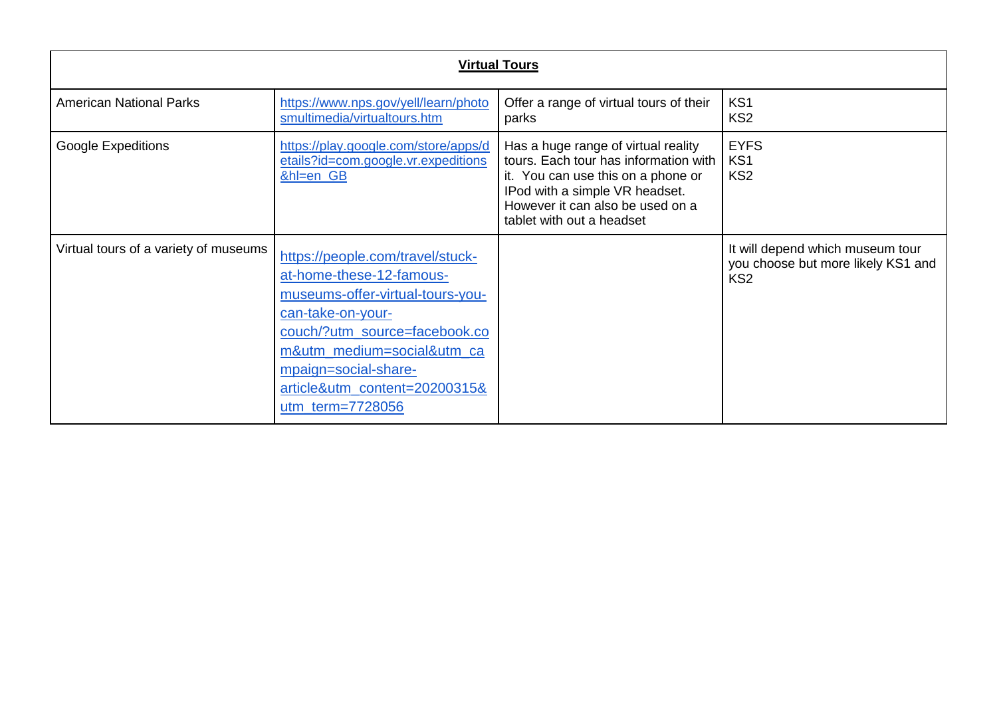| <b>Virtual Tours</b>                  |                                                                                                                                                                                                                                                                   |                                                                                                                                                                                                                       |                                                                                           |
|---------------------------------------|-------------------------------------------------------------------------------------------------------------------------------------------------------------------------------------------------------------------------------------------------------------------|-----------------------------------------------------------------------------------------------------------------------------------------------------------------------------------------------------------------------|-------------------------------------------------------------------------------------------|
| <b>American National Parks</b>        | https://www.nps.gov/yell/learn/photo<br>smultimedia/virtualtours.htm                                                                                                                                                                                              | Offer a range of virtual tours of their<br>parks                                                                                                                                                                      | KS <sub>1</sub><br>KS <sub>2</sub>                                                        |
| <b>Google Expeditions</b>             | https://play.google.com/store/apps/d<br>etails?id=com.google.vr.expeditions<br>&hl=en_GB                                                                                                                                                                          | Has a huge range of virtual reality<br>tours. Each tour has information with<br>it. You can use this on a phone or<br>IPod with a simple VR headset.<br>However it can also be used on a<br>tablet with out a headset | <b>EYFS</b><br>KS1<br>KS <sub>2</sub>                                                     |
| Virtual tours of a variety of museums | https://people.com/travel/stuck-<br>at-home-these-12-famous-<br>museums-offer-virtual-tours-you-<br>can-take-on-your-<br>couch/?utm_source=facebook.co<br>m&utm_medium=social&utm_ca<br>mpaign=social-share-<br>article&utm_content=20200315&<br>utm_term=7728056 |                                                                                                                                                                                                                       | It will depend which museum tour<br>you choose but more likely KS1 and<br>KS <sub>2</sub> |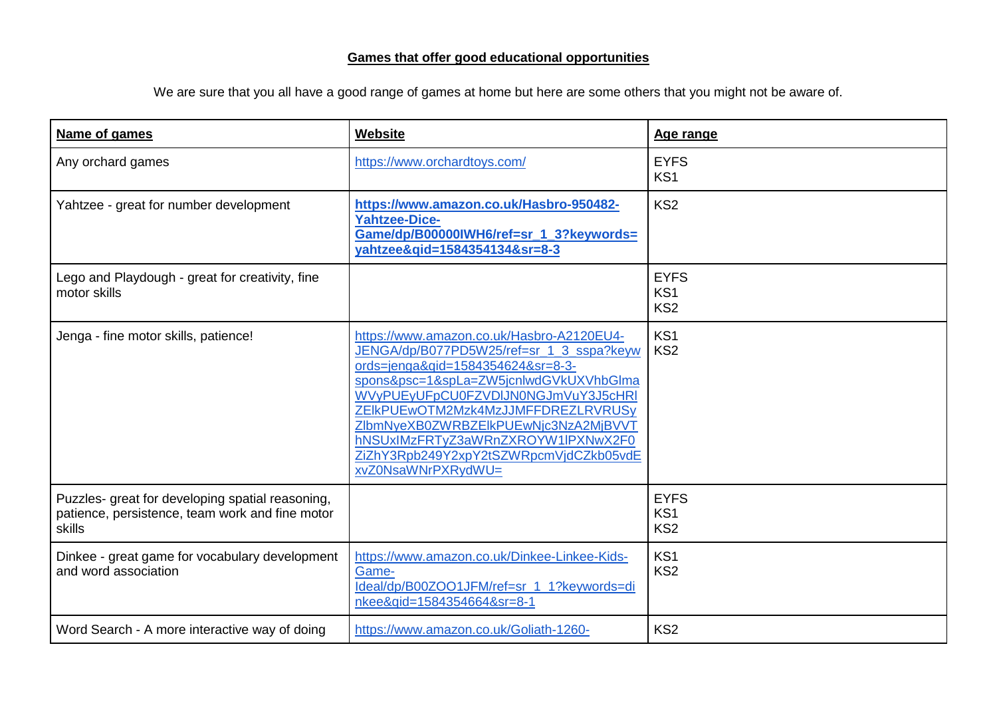We are sure that you all have a good range of games at home but here are some others that you might not be aware of.

| Name of games                                                                                                        | Website                                                                                                                                                                                                                                                                                                                                                                                         | Age range                                         |
|----------------------------------------------------------------------------------------------------------------------|-------------------------------------------------------------------------------------------------------------------------------------------------------------------------------------------------------------------------------------------------------------------------------------------------------------------------------------------------------------------------------------------------|---------------------------------------------------|
| Any orchard games                                                                                                    | https://www.orchardtoys.com/                                                                                                                                                                                                                                                                                                                                                                    | <b>EYFS</b><br>KS1                                |
| Yahtzee - great for number development                                                                               | https://www.amazon.co.uk/Hasbro-950482-<br><b>Yahtzee-Dice-</b><br>Game/dp/B00000IWH6/ref=sr_1_3?keywords=<br>vahtzee&qid=1584354134&sr=8-3                                                                                                                                                                                                                                                     | KS <sub>2</sub>                                   |
| Lego and Playdough - great for creativity, fine<br>motor skills                                                      |                                                                                                                                                                                                                                                                                                                                                                                                 | <b>EYFS</b><br>KS <sub>1</sub><br>KS <sub>2</sub> |
| Jenga - fine motor skills, patience!                                                                                 | https://www.amazon.co.uk/Hasbro-A2120EU4-<br>JENGA/dp/B077PD5W25/ref=sr_1_3_sspa?keyw<br>ords=jenga&gid=1584354624&sr=8-3-<br>spons&psc=1&spLa=ZW5jcnlwdGVkUXVhbGlma<br>WVyPUEyUFpCU0FZVDIJN0NGJmVuY3J5cHRI<br>ZEIkPUEwOTM2Mzk4MzJJMFFDREZLRVRUSy<br>ZIbmNyeXB0ZWRBZEIkPUEwNjc3NzA2MjBVVT<br>hNSUxIMzFRTyZ3aWRnZXROYW1IPXNwX2F0<br>ZiZhY3Rpb249Y2xpY2tSZWRpcmVjdCZkb05vdE<br>xvZ0NsaWNrPXRydWU= | KS1<br>KS <sub>2</sub>                            |
| Puzzles- great for developing spatial reasoning,<br>patience, persistence, team work and fine motor<br><b>skills</b> |                                                                                                                                                                                                                                                                                                                                                                                                 | <b>EYFS</b><br>KS1<br>KS <sub>2</sub>             |
| Dinkee - great game for vocabulary development<br>and word association                                               | https://www.amazon.co.uk/Dinkee-Linkee-Kids-<br>Game-<br>Ideal/dp/B00ZOO1JFM/ref=sr 1 1?keywords=di<br>nkee&gid=1584354664&sr=8-1                                                                                                                                                                                                                                                               | KS <sub>1</sub><br>KS <sub>2</sub>                |
| Word Search - A more interactive way of doing                                                                        | https://www.amazon.co.uk/Goliath-1260-                                                                                                                                                                                                                                                                                                                                                          | KS <sub>2</sub>                                   |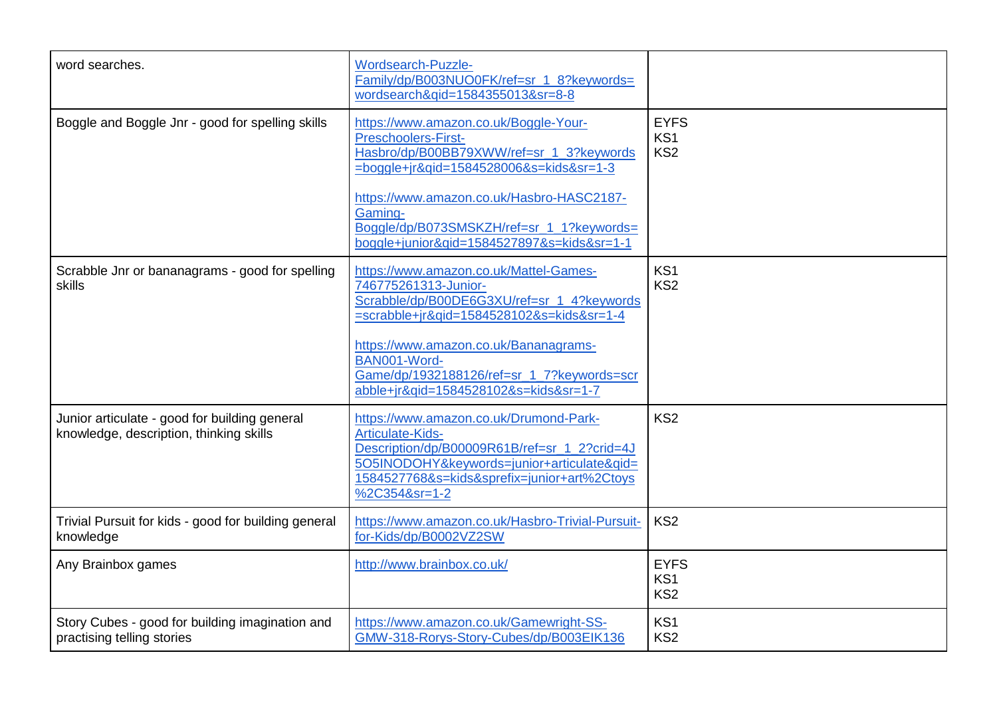| word searches.                                                                           | <b>Wordsearch-Puzzle-</b><br>Family/dp/B003NUO0FK/ref=sr 1 8?keywords=<br>wordsearch&gid=1584355013&sr=8-8                                                                                                               |                                                   |
|------------------------------------------------------------------------------------------|--------------------------------------------------------------------------------------------------------------------------------------------------------------------------------------------------------------------------|---------------------------------------------------|
| Boggle and Boggle Jnr - good for spelling skills                                         | https://www.amazon.co.uk/Boggle-Your-<br><b>Preschoolers-First-</b><br>Hasbro/dp/B00BB79XWW/ref=sr_1_3?keywords<br>$=$ boggle+jr&gid=1584528006&s=kids&sr=1-3                                                            | <b>EYFS</b><br>KS <sub>1</sub><br>KS <sub>2</sub> |
|                                                                                          | https://www.amazon.co.uk/Hasbro-HASC2187-<br>Gaming-<br>Boggle/dp/B073SMSKZH/ref=sr_1_1?keywords=<br>boggle+junior&gid=1584527897&s=kids&sr=1-1                                                                          |                                                   |
| Scrabble Jnr or bananagrams - good for spelling<br>skills                                | https://www.amazon.co.uk/Mattel-Games-<br>746775261313-Junior-<br>Scrabble/dp/B00DE6G3XU/ref=sr_1_4?keywords<br>=scrabble+jr&qid=1584528102&s=kids&sr=1-4                                                                | KS <sub>1</sub><br>KS <sub>2</sub>                |
|                                                                                          | https://www.amazon.co.uk/Bananagrams-<br>BAN001-Word-<br>Game/dp/1932188126/ref=sr_1_7?keywords=scr<br>abble+jr&qid=1584528102&s=kids&sr=1-7                                                                             |                                                   |
| Junior articulate - good for building general<br>knowledge, description, thinking skills | https://www.amazon.co.uk/Drumond-Park-<br>Articulate-Kids-<br>Description/dp/B00009R61B/ref=sr_1_2?crid=4J<br>5O5INODOHY&keywords=junior+articulate&qid=<br>1584527768&s=kids&sprefix=junior+art%2Ctoys<br>%2C354&sr=1-2 | KS <sub>2</sub>                                   |
| Trivial Pursuit for kids - good for building general<br>knowledge                        | https://www.amazon.co.uk/Hasbro-Trivial-Pursuit-<br>for-Kids/dp/B0002VZ2SW                                                                                                                                               | KS <sub>2</sub>                                   |
| Any Brainbox games                                                                       | http://www.brainbox.co.uk/                                                                                                                                                                                               | <b>EYFS</b><br>KS <sub>1</sub><br>KS <sub>2</sub> |
| Story Cubes - good for building imagination and<br>practising telling stories            | https://www.amazon.co.uk/Gamewright-SS-<br>GMW-318-Rorys-Story-Cubes/dp/B003EIK136                                                                                                                                       | KS <sub>1</sub><br>KS <sub>2</sub>                |